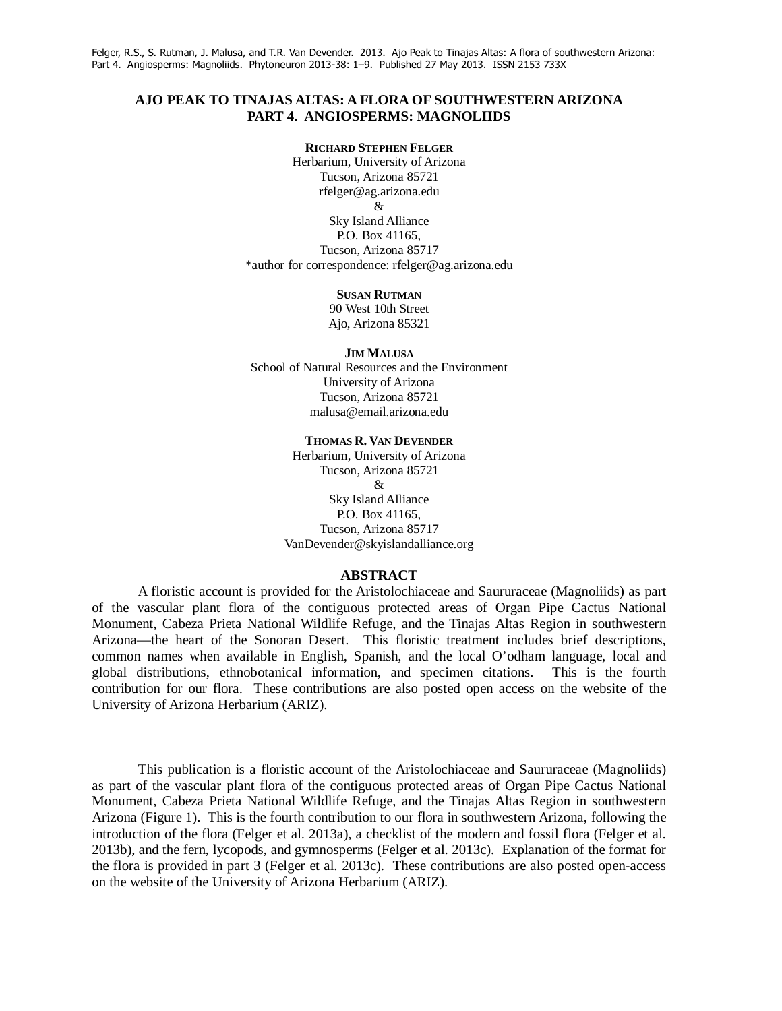### **AJO PEAK TO TINAJAS ALTAS: A FLORA OF SOUTHWESTERN ARIZONA PART 4. ANGIOSPERMS: MAGNOLIIDS**

#### **RICHARD STEPHEN FELGER**

Herbarium, University of Arizona Tucson, Arizona 85721 rfelger@ag.arizona.edu & Sky Island Alliance P.O. Box 41165, Tucson, Arizona 85717 \*author for correspondence: rfelger@ag.arizona.edu

### **SUSAN RUTMAN**

90 West 10th Street Ajo, Arizona 85321

#### **JIM MALUSA**

School of Natural Resources and the Environment University of Arizona Tucson, Arizona 85721 malusa@email.arizona.edu

#### **THOMAS R. VAN DEVENDER**

Herbarium, University of Arizona Tucson, Arizona 85721 & Sky Island Alliance P.O. Box 41165, Tucson, Arizona 85717 VanDevender@skyislandalliance.org

### **ABSTRACT**

 A floristic account is provided for the Aristolochiaceae and Saururaceae (Magnoliids) as part of the vascular plant flora of the contiguous protected areas of Organ Pipe Cactus National Monument, Cabeza Prieta National Wildlife Refuge, and the Tinajas Altas Region in southwestern Arizona—the heart of the Sonoran Desert. This floristic treatment includes brief descriptions, common names when available in English, Spanish, and the local O'odham language, local and global distributions, ethnobotanical information, and specimen citations. This is the fourth contribution for our flora. These contributions are also posted open access on the website of the University of Arizona Herbarium (ARIZ).

 This publication is a floristic account of the Aristolochiaceae and Saururaceae (Magnoliids) as part of the vascular plant flora of the contiguous protected areas of Organ Pipe Cactus National Monument, Cabeza Prieta National Wildlife Refuge, and the Tinajas Altas Region in southwestern Arizona (Figure 1). This is the fourth contribution to our flora in southwestern Arizona, following the introduction of the flora (Felger et al. 2013a), a checklist of the modern and fossil flora (Felger et al. 2013b), and the fern, lycopods, and gymnosperms (Felger et al. 2013c). Explanation of the format for the flora is provided in part 3 (Felger et al. 2013c). These contributions are also posted open-access on the website of the University of Arizona Herbarium (ARIZ).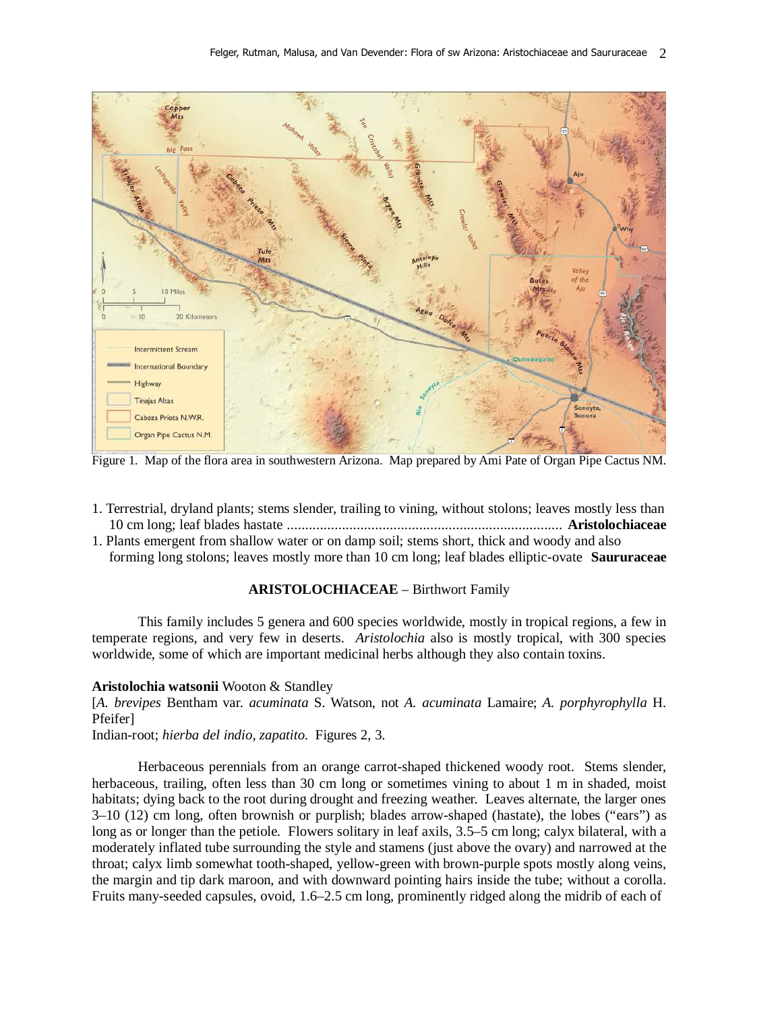

Figure 1. Map of the flora area in southwestern Arizona. Map prepared by Ami Pate of Organ Pipe Cactus NM.

- 1. Terrestrial, dryland plants; stems slender, trailing to vining, without stolons; leaves mostly less than 10 cm long; leaf blades hastate ........................................................................... **Aristolochiaceae**
- 1. Plants emergent from shallow water or on damp soil; stems short, thick and woody and also forming long stolons; leaves mostly more than 10 cm long; leaf blades elliptic-ovate **Saururaceae**

# **ARISTOLOCHIACEAE** – Birthwort Family

 This family includes 5 genera and 600 species worldwide, mostly in tropical regions, a few in temperate regions, and very few in deserts. *Aristolochia* also is mostly tropical, with 300 species worldwide, some of which are important medicinal herbs although they also contain toxins.

### **Aristolochia watsonii** Wooton & Standley

[*A. brevipes* Bentham var. *acuminata* S. Watson, not *A. acuminata* Lamaire; *A. porphyrophylla* H. Pfeifer]

Indian-root; *hierba del indio, zapatito*. Figures 2, 3.

 Herbaceous perennials from an orange carrot-shaped thickened woody root. Stems slender, herbaceous, trailing, often less than 30 cm long or sometimes vining to about 1 m in shaded, moist habitats; dying back to the root during drought and freezing weather. Leaves alternate, the larger ones 3–10 (12) cm long, often brownish or purplish; blades arrow-shaped (hastate), the lobes ("ears") as long as or longer than the petiole. Flowers solitary in leaf axils, 3.5–5 cm long; calyx bilateral, with a moderately inflated tube surrounding the style and stamens (just above the ovary) and narrowed at the throat; calyx limb somewhat tooth-shaped, yellow-green with brown-purple spots mostly along veins, the margin and tip dark maroon, and with downward pointing hairs inside the tube; without a corolla. Fruits many-seeded capsules, ovoid, 1.6–2.5 cm long, prominently ridged along the midrib of each of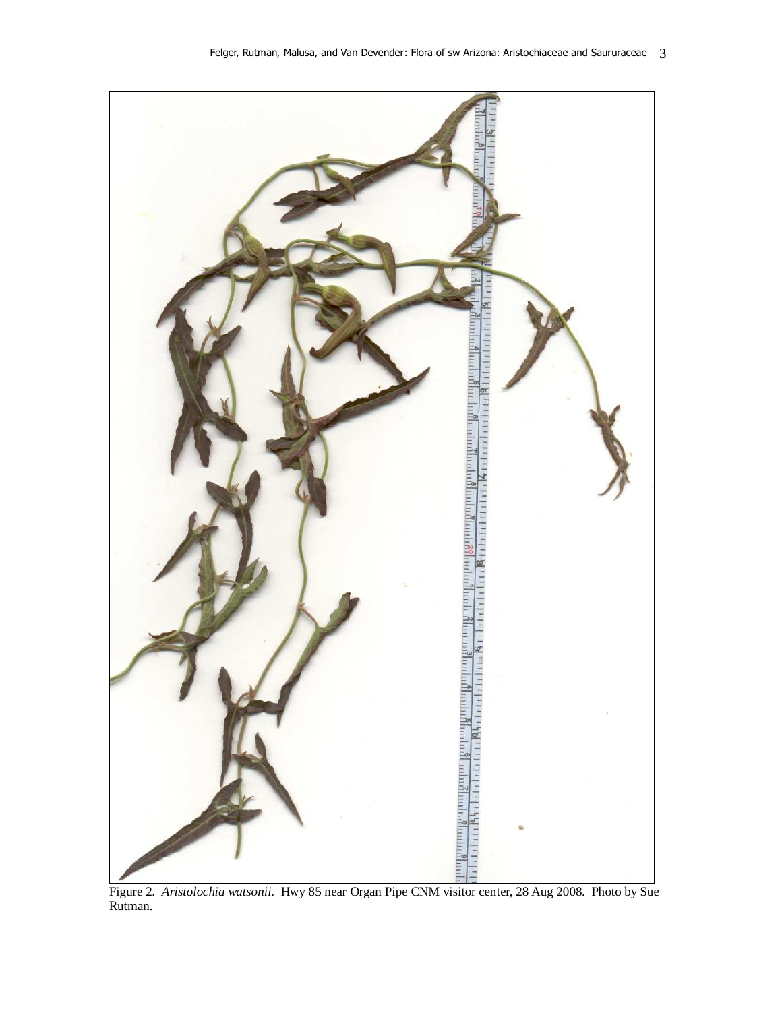

Figure 2. *Aristolochia watsonii*. Hwy 85 near Organ Pipe CNM visitor center, 28 Aug 2008. Photo by Sue Rutman.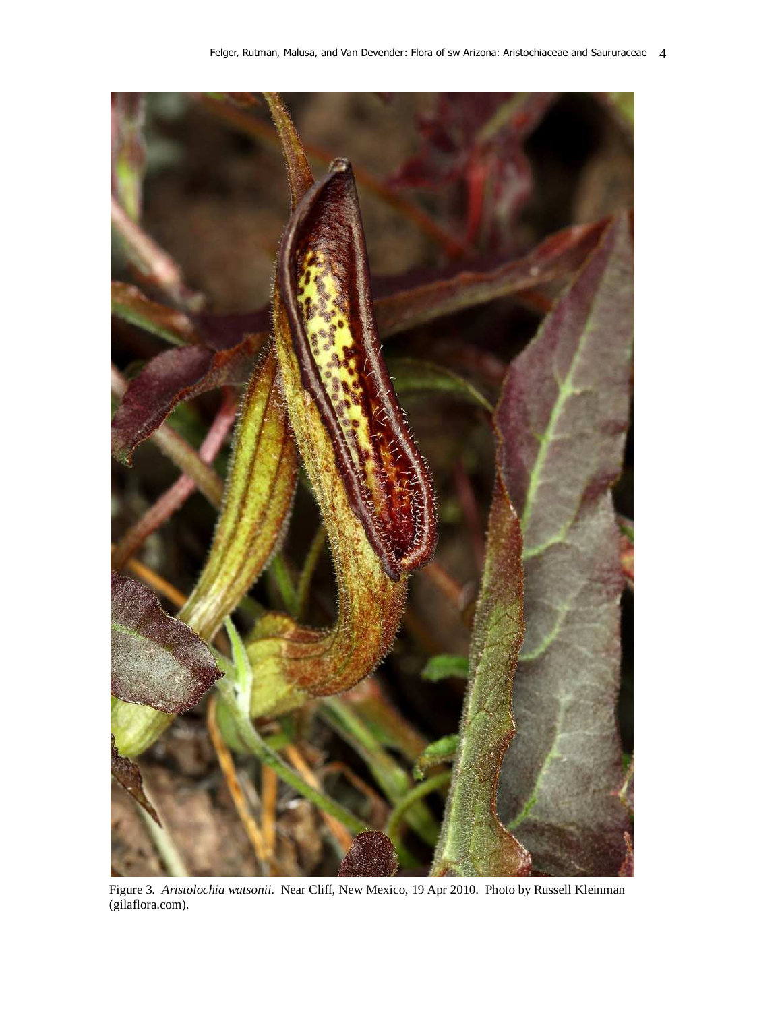

Figure 3. *Aristolochia watsonii*. Near Cliff, New Mexico, 19 Apr 2010. Photo by Russell Kleinman (gilaflora.com).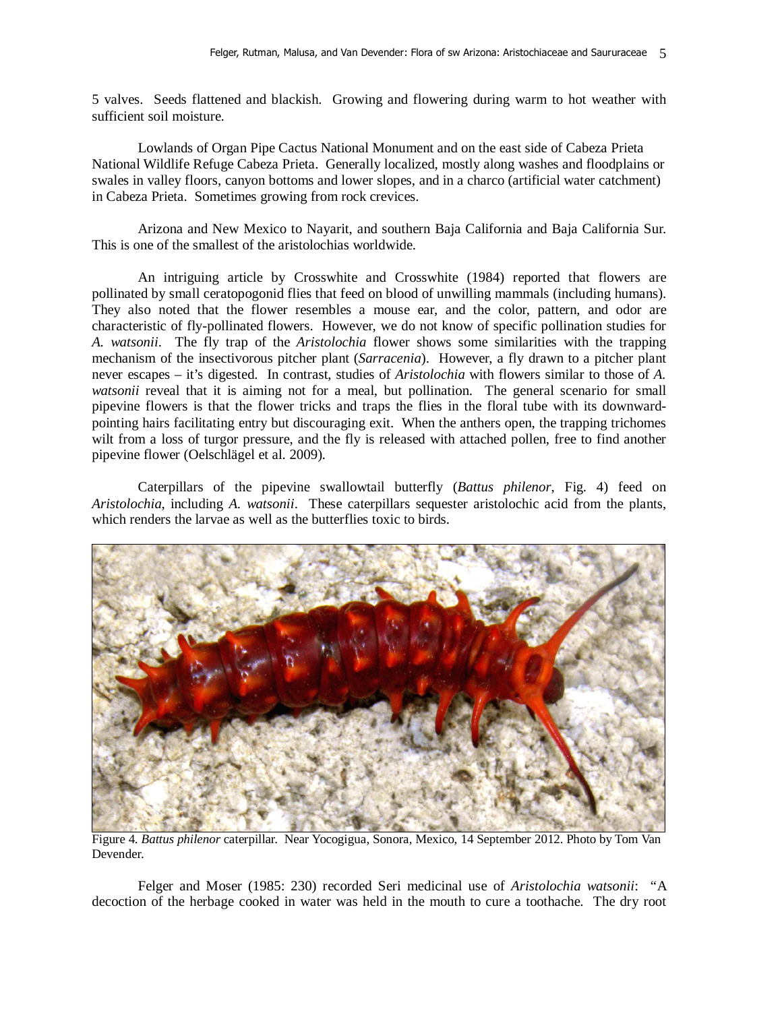5 valves. Seeds flattened and blackish. Growing and flowering during warm to hot weather with sufficient soil moisture.

Lowlands of Organ Pipe Cactus National Monument and on the east side of Cabeza Prieta National Wildlife Refuge Cabeza Prieta. Generally localized, mostly along washes and floodplains or swales in valley floors, canyon bottoms and lower slopes, and in a charco (artificial water catchment) in Cabeza Prieta. Sometimes growing from rock crevices.

Arizona and New Mexico to Nayarit, and southern Baja California and Baja California Sur. This is one of the smallest of the aristolochias worldwide.

An intriguing article by Crosswhite and Crosswhite (1984) reported that flowers are pollinated by small ceratopogonid flies that feed on blood of unwilling mammals (including humans). They also noted that the flower resembles a mouse ear, and the color, pattern, and odor are characteristic of fly-pollinated flowers. However, we do not know of specific pollination studies for *A. watsonii*. The fly trap of the *Aristolochia* flower shows some similarities with the trapping mechanism of the insectivorous pitcher plant (*Sarracenia*). However, a fly drawn to a pitcher plant never escapes – it's digested. In contrast, studies of *Aristolochia* with flowers similar to those of *A. watsonii* reveal that it is aiming not for a meal, but pollination. The general scenario for small pipevine flowers is that the flower tricks and traps the flies in the floral tube with its downwardpointing hairs facilitating entry but discouraging exit. When the anthers open, the trapping trichomes wilt from a loss of turgor pressure, and the fly is released with attached pollen, free to find another pipevine flower (Oelschlägel et al. 2009).

Caterpillars of the pipevine swallowtail butterfly (*Battus philenor*, Fig. 4) feed on *Aristolochia*, including *A. watsonii*. These caterpillars sequester aristolochic acid from the plants, which renders the larvae as well as the butterflies toxic to birds.



Figure 4. *Battus philenor* caterpillar. Near Yocogigua, Sonora, Mexico, 14 September 2012. Photo by Tom Van Devender.

Felger and Moser (1985: 230) recorded Seri medicinal use of *Aristolochia watsonii*: "A decoction of the herbage cooked in water was held in the mouth to cure a toothache. The dry root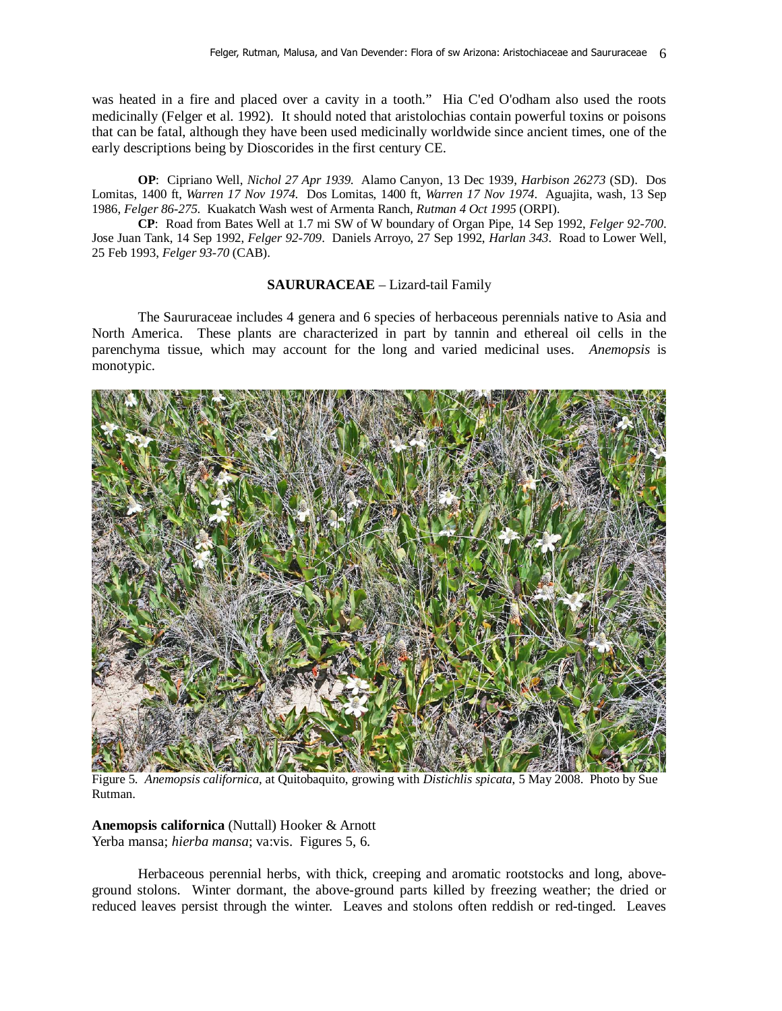was heated in a fire and placed over a cavity in a tooth." Hia C'ed O'odham also used the roots medicinally (Felger et al. 1992). It should noted that aristolochias contain powerful toxins or poisons that can be fatal, although they have been used medicinally worldwide since ancient times, one of the early descriptions being by Dioscorides in the first century CE.

**OP**: Cipriano Well, *Nichol 27 Apr 1939*. Alamo Canyon, 13 Dec 1939, *Harbison 26273* (SD). Dos Lomitas, 1400 ft, *Warren 17 Nov 1974*. Dos Lomitas, 1400 ft, *Warren 17 Nov 1974*. Aguajita, wash, 13 Sep 1986, *Felger 86-275*. Kuakatch Wash west of Armenta Ranch, *Rutman 4 Oct 1995* (ORPI).

**CP**: Road from Bates Well at 1.7 mi SW of W boundary of Organ Pipe, 14 Sep 1992, *Felger 92-700*. Jose Juan Tank, 14 Sep 1992, *Felger 92-709*. Daniels Arroyo, 27 Sep 1992, *Harlan 343*. Road to Lower Well, 25 Feb 1993, *Felger 93-70* (CAB).

### **SAURURACEAE** – Lizard-tail Family

The Saururaceae includes 4 genera and 6 species of herbaceous perennials native to Asia and North America. These plants are characterized in part by tannin and ethereal oil cells in the parenchyma tissue, which may account for the long and varied medicinal uses. *Anemopsis* is monotypic.



Figure 5. *Anemopsis californica*, at Quitobaquito, growing with *Distichlis spicata*, 5 May 2008. Photo by Sue Rutman.

**Anemopsis californica** (Nuttall) Hooker & Arnott Yerba mansa; *hierba mansa*; va:vis. Figures 5, 6.

Herbaceous perennial herbs, with thick, creeping and aromatic rootstocks and long, aboveground stolons. Winter dormant, the above-ground parts killed by freezing weather; the dried or reduced leaves persist through the winter. Leaves and stolons often reddish or red-tinged. Leaves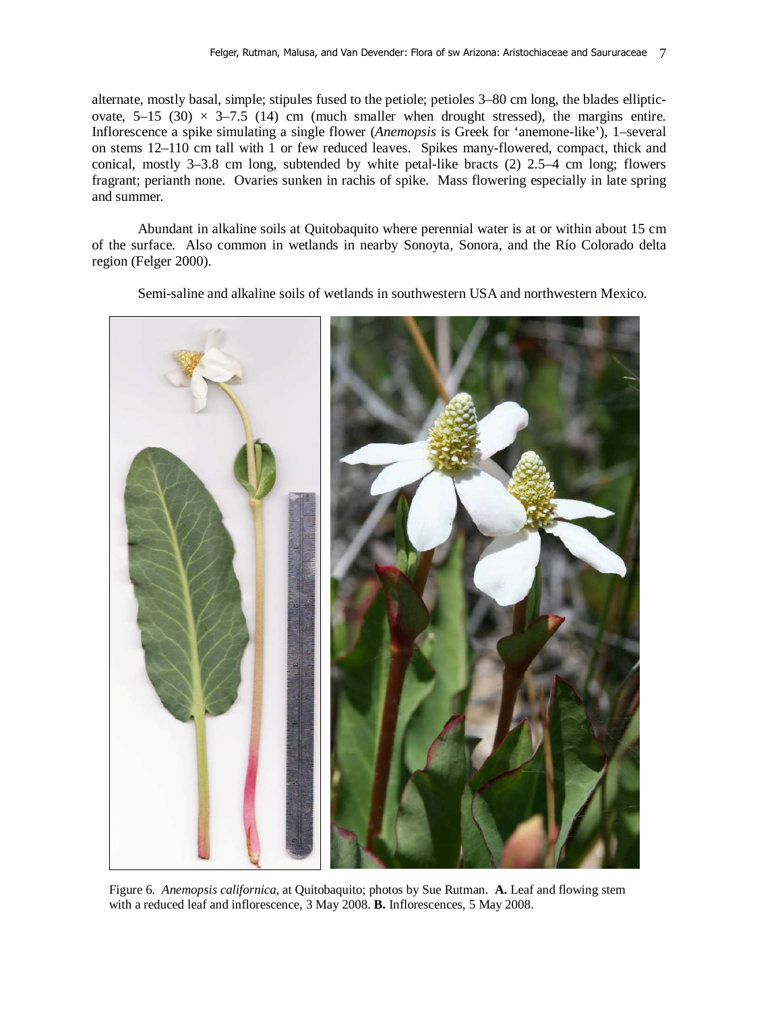alternate, mostly basal, simple; stipules fused to the petiole; petioles 3–80 cm long, the blades ellipticovate,  $5-15$  (30)  $\times$  3-7.5 (14) cm (much smaller when drought stressed), the margins entire. Inflorescence a spike simulating a single flower (*Anemopsis* is Greek for 'anemone-like'), 1–several on stems 12–110 cm tall with 1 or few reduced leaves. Spikes many-flowered, compact, thick and conical, mostly 3–3.8 cm long, subtended by white petal-like bracts (2) 2.5–4 cm long; flowers fragrant; perianth none. Ovaries sunken in rachis of spike. Mass flowering especially in late spring and summer.

 Abundant in alkaline soils at Quitobaquito where perennial water is at or within about 15 cm of the surface. Also common in wetlands in nearby Sonoyta, Sonora, and the Río Colorado delta region (Felger 2000).

Semi-saline and alkaline soils of wetlands in southwestern USA and northwestern Mexico.

Figure 6. *Anemopsis californica*, at Quitobaquito; photos by Sue Rutman. **A.** Leaf and flowing stem with a reduced leaf and inflorescence, 3 May 2008. **B.** Inflorescences, 5 May 2008.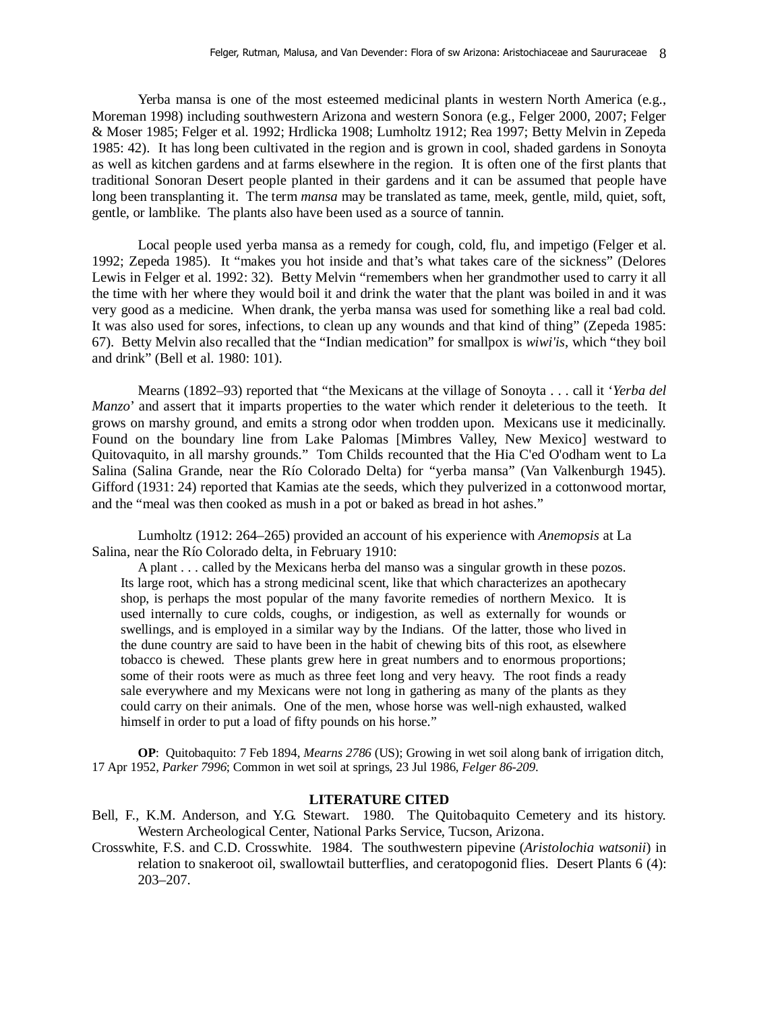Yerba mansa is one of the most esteemed medicinal plants in western North America (e.g., Moreman 1998) including southwestern Arizona and western Sonora (e.g., Felger 2000, 2007; Felger & Moser 1985; Felger et al. 1992; Hrdlicka 1908; Lumholtz 1912; Rea 1997; Betty Melvin in Zepeda 1985: 42). It has long been cultivated in the region and is grown in cool, shaded gardens in Sonoyta as well as kitchen gardens and at farms elsewhere in the region. It is often one of the first plants that traditional Sonoran Desert people planted in their gardens and it can be assumed that people have long been transplanting it. The term *mansa* may be translated as tame, meek, gentle, mild, quiet, soft, gentle, or lamblike. The plants also have been used as a source of tannin.

Local people used yerba mansa as a remedy for cough, cold, flu, and impetigo (Felger et al. 1992; Zepeda 1985). It "makes you hot inside and that's what takes care of the sickness" (Delores Lewis in Felger et al. 1992: 32). Betty Melvin "remembers when her grandmother used to carry it all the time with her where they would boil it and drink the water that the plant was boiled in and it was very good as a medicine. When drank, the yerba mansa was used for something like a real bad cold. It was also used for sores, infections, to clean up any wounds and that kind of thing" (Zepeda 1985: 67). Betty Melvin also recalled that the "Indian medication" for smallpox is *wiwi'is*, which "they boil and drink" (Bell et al. 1980: 101).

Mearns (1892–93) reported that "the Mexicans at the village of Sonoyta . . . call it '*Yerba del Manzo*' and assert that it imparts properties to the water which render it deleterious to the teeth. It grows on marshy ground, and emits a strong odor when trodden upon. Mexicans use it medicinally. Found on the boundary line from Lake Palomas [Mimbres Valley, New Mexico] westward to Quitovaquito, in all marshy grounds." Tom Childs recounted that the Hia C'ed O'odham went to La Salina (Salina Grande, near the Río Colorado Delta) for "yerba mansa" (Van Valkenburgh 1945). Gifford (1931: 24) reported that Kamias ate the seeds, which they pulverized in a cottonwood mortar, and the "meal was then cooked as mush in a pot or baked as bread in hot ashes."

 Lumholtz (1912: 264–265) provided an account of his experience with *Anemopsis* at La Salina, near the Río Colorado delta, in February 1910:

 A plant . . . called by the Mexicans herba del manso was a singular growth in these pozos. Its large root, which has a strong medicinal scent, like that which characterizes an apothecary shop, is perhaps the most popular of the many favorite remedies of northern Mexico. It is used internally to cure colds, coughs, or indigestion, as well as externally for wounds or swellings, and is employed in a similar way by the Indians. Of the latter, those who lived in the dune country are said to have been in the habit of chewing bits of this root, as elsewhere tobacco is chewed. These plants grew here in great numbers and to enormous proportions; some of their roots were as much as three feet long and very heavy. The root finds a ready sale everywhere and my Mexicans were not long in gathering as many of the plants as they could carry on their animals. One of the men, whose horse was well-nigh exhausted, walked himself in order to put a load of fifty pounds on his horse."

**OP**: Quitobaquito: 7 Feb 1894, *Mearns 2786* (US); Growing in wet soil along bank of irrigation ditch, 17 Apr 1952, *Parker 7996*; Common in wet soil at springs, 23 Jul 1986, *Felger 86-209*.

## **LITERATURE CITED**

- Bell, F., K.M. Anderson, and Y.G. Stewart. 1980. The Quitobaquito Cemetery and its history. Western Archeological Center, National Parks Service, Tucson, Arizona.
- Crosswhite, F.S. and C.D. Crosswhite. 1984. The southwestern pipevine (*Aristolochia watsonii*) in relation to snakeroot oil, swallowtail butterflies, and ceratopogonid flies. Desert Plants 6 (4): 203–207.